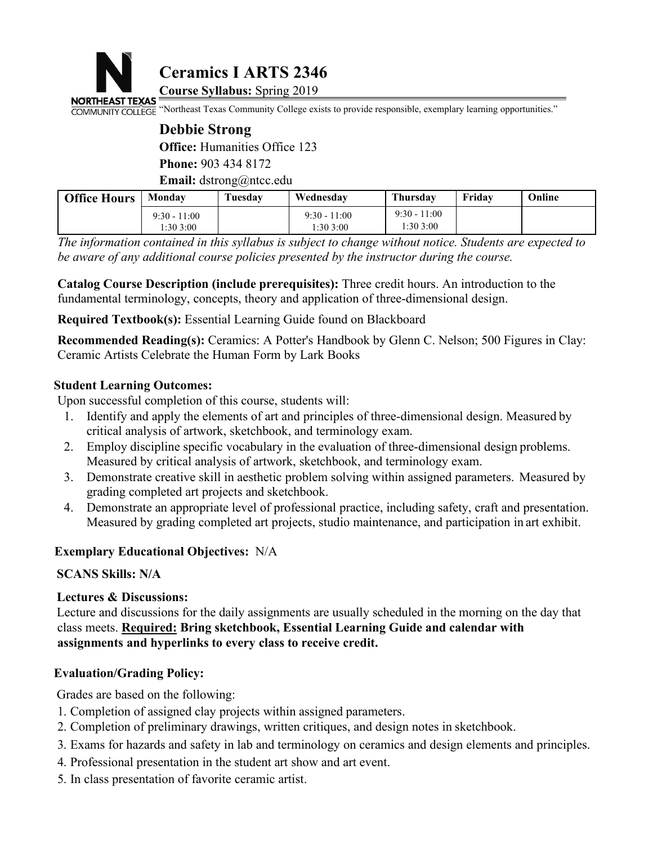

# **Debbie Strong Office:** Humanities Office 123 **Phone:** 903 434 8172 **Email:** dstrong@ntcc.edu

|                                                           |                            | <b>Ceramics I ARTS 2346</b>          |                                                                                                                                                                                                                                                                                                         |                            |        |        |
|-----------------------------------------------------------|----------------------------|--------------------------------------|---------------------------------------------------------------------------------------------------------------------------------------------------------------------------------------------------------------------------------------------------------------------------------------------------------|----------------------------|--------|--------|
| NORTHEAST TEXAS                                           |                            | <b>Course Syllabus: Spring 2019</b>  | "Northeast Texas Community College exists to provide responsible, exemplary learning opportunities."                                                                                                                                                                                                    |                            |        |        |
| <b>COMMUNITY COLLEGE</b>                                  |                            |                                      |                                                                                                                                                                                                                                                                                                         |                            |        |        |
|                                                           | <b>Debbie Strong</b>       | <b>Office:</b> Humanities Office 123 |                                                                                                                                                                                                                                                                                                         |                            |        |        |
|                                                           | Phone: 903 434 8172        |                                      |                                                                                                                                                                                                                                                                                                         |                            |        |        |
|                                                           |                            | <b>Email:</b> dstrong@ntcc.edu       |                                                                                                                                                                                                                                                                                                         |                            |        |        |
| <b>Office Hours</b>                                       | <b>Monday</b>              | Tuesday                              | Wednesday                                                                                                                                                                                                                                                                                               | Thursday                   | Friday | Online |
|                                                           | $9:30 - 11:00$<br>1:303:00 |                                      | $9:30 - 11:00$<br>1:303:00                                                                                                                                                                                                                                                                              | $9:30 - 11:00$<br>1:303:00 |        |        |
|                                                           |                            |                                      | The information contained in this syllabus is subject to change without notice. Students are expected to<br>be aware of any additional course policies presented by the instructor during the course.<br>Catalog Course Description (include prerequisites): Three credit hours. An introduction to the |                            |        |        |
|                                                           |                            |                                      | fundamental terminology, concepts, theory and application of three-dimensional design.                                                                                                                                                                                                                  |                            |        |        |
|                                                           |                            |                                      | <b>Required Textbook(s):</b> Essential Learning Guide found on Blackboard                                                                                                                                                                                                                               |                            |        |        |
| Ceramic Artists Celebrate the Human Form by Lark Books    |                            |                                      | <b>Recommended Reading(s):</b> Ceramics: A Potter's Handbook by Glenn C. Nelson; 500 Figures in Clay:                                                                                                                                                                                                   |                            |        |        |
| <b>Student Learning Outcomes:</b>                         |                            |                                      |                                                                                                                                                                                                                                                                                                         |                            |        |        |
| Upon successful completion of this course, students will: |                            |                                      |                                                                                                                                                                                                                                                                                                         |                            |        |        |
| 1.                                                        |                            |                                      | Identify and apply the elements of art and principles of three-dimensional design. Measured by<br>critical analysis of artwork, sketchbook, and terminology exam.                                                                                                                                       |                            |        |        |
| 2.                                                        |                            |                                      | Employ discipline specific vocabulary in the evaluation of three-dimensional design problems.<br>Measured by critical analysis of artwork sketchbook and terminology exam-                                                                                                                              |                            |        |        |

1.30.300 11.30.300 11.30.300 11.30.300 11.30.300 11.30.300 11.30.300 11.30.300 11.30.300 11.30.300 11.30.300 11.30.300 11.30.300 11.30.300 11.30.300 11.30.300 11.30.300 11.30.300 11.30.300 11.30.300 11.30.300 11.30.300 11.

- *fformation contained in this syllabus is subject to change without notice. Students are expected to are of any additional course policies presented by the instructor during the course.*<br> **og Course Description (include pr** mental terminology, concepts, theory and apprication of three-dimensiona<br> **ired Textbook(s):** Essential Learning Guide found on Blackboard<br> **mmended Reading(s):** Ceramics: A Potter's Handbook by Glenn C. Nelsc<br>
nic Artists
- **Example 18 Student Learning Outcomes:**<br>
Upon successful completion of this course, students will:<br>
1. Identify and apply the elements of art and principles of three-dimension<br>
critical analysis of artwork, sketchbook, and
- e aware of any additional course policies presented by the instructor during the course.<br> **Catalog Course Description (include prerequisites):** Three credit hours. An introduction to the<br>
Indimental terminology, concepts, **og Course Description (include prerequisites):** Three credit hours. An introduction to the mental terminology, concepts, theory and application of three-dimensional design.<br> **ired Textbook(s):** Essential Learning Guide fo
- 2. and the model of the model problem solving within assigned parameters. The endeath of three-dimensional design.<br>
2. Demonstrate Creative Schemes: A Potter's Handbook by Glenn C. Nelson; 500 Figures in Clay:<br>
3. Ceramic Example Textbook(s): Essential Learning Guide found on Blackboard<br>
Eccommended Reading(s): Ceramics: A Potter's Handbook by Glenn C. Nelson; 500 Figures in Clay:<br>
Framic Artists Celebrate the Human Form by Lark Books<br> mmended Reading(s): Ccramics: A Potter's Handbook by Glenn C. Nelson; 500 Figures in Clay:<br>nic Artists Celebrate the Human Form by Lark Books<br>nt Learning Outcomes:<br>successful completion of this course, students will:<br>Ident

**Student Learning Outcomes:**<br>
Upon successful completion of this course, students wi<br>
1. Identify and apply the elements of art and princip<br>
critical analysis of artwork, sketchbook, and term<br>
2. Employ discipline specific 1. Identify and apply the elements of art and primiding critical analysis of artwork, sketchbook, and t<br>2. Employ discipline specific vocabulary in the Measured by critical analysis of artwork, sket<br>3. Demonstrate creative The control and spin to solution of the discussions of the discussions of the discussions.<br>
2. Employ discipline specific vocabulary in the evaluation of three-dimensional design problems.<br>
2. Employ discipline specific vo **Examplary Branch and School and Constrainers** metallering between the elimensional design problems.<br>
Measured by critical analysis of artwork, sketchbook, and terminology exam.<br>
3. Demonstrate creative skill in aesthetic Measured by critical analysis of artwork, sketchbook, and terminology exam.<br>
3. Demonstrate creative skill in aesthetic problem solving within assigned parameters. Mea<br>
grading completed art projects and sketchbook.<br>
4. De grading completed art projects and sketchbook.<br>
4. Demonstrate an appropriate level of professional pract<br>
Measured by grading completed art projects, studio me<br> **Exemplary Educational Objectives:** N/A<br> **SCANS Skills:** N/A 4. Demonstrate an appropriate level of professional practice<br>Measured by grading completed art projects, studio maint<br>Exemplary Educational Objectives: N/A<br>SCANS Skills: N/A<br>Lectures & Discussions:<br>Lecture and discussions: Measured by grading completed art projects, studio maintenance, and participation in art of<br>
Examplary Educational Objectives: N/A<br>
SCANS Skills: N/A<br>
Lectures & Discussions:<br>
Lecture and discussions:<br>
Lecture and discussi Exemplary Educational Objectives: N/A<br>
SCANS Skills: N/A<br>
Lectures & Discussions:<br>
Lecture and discussions:<br>
Lecture and discussions for the daily assignments are usually scheduled in the morning on the day that<br>
class mee Examplary Educational Objectives: 1974<br>
SCANS Skills: N/A<br>
Ecture and discussions:<br>
Lecture and discussions for the daily assignments are usually scheduled in the morning on the day that<br>
class meets. <u>Required:</u> Bring ske SCANS Skills: N/A<br>
Lectures & Discussions:<br>
Lecture and discussions:<br>
Lecture and discussions for the daily assignments are usually scheduled in the morning on the day<br>
class meets. <u>Required:</u> Bring sketchbook, Essential Lectures & Discussions:<br>Lecture and discussions for the daily assignments are usually scheduled in the moclass meets. Required: Bring sketchbook, Essential Learning Guide and calen<br>assignments and hyperlinks to every class

- 
- 
- 
- 
-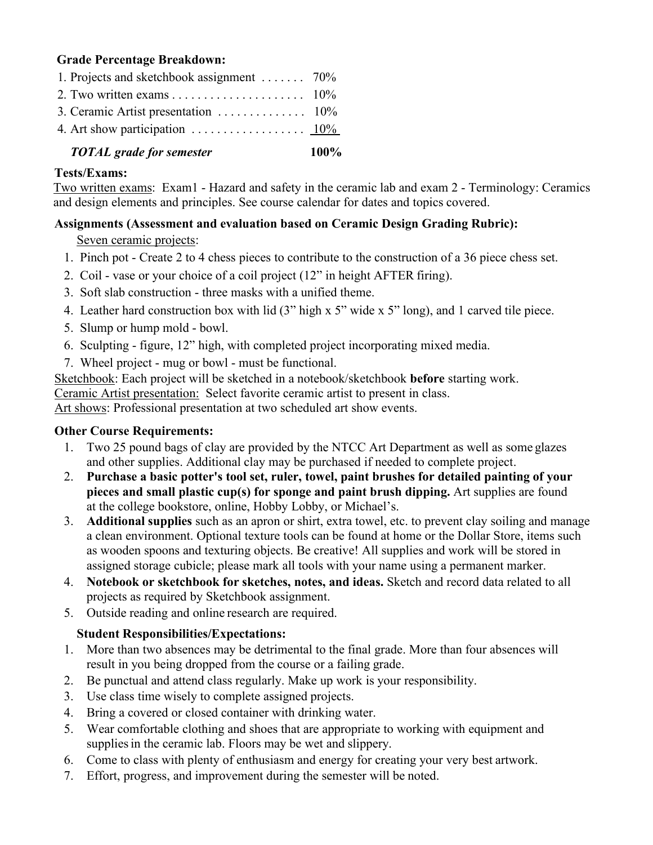# **Grade Percentage Breakdown:**

| 1. Projects and sketchbook assignment $\ldots \ldots$ 70%                  |  |
|----------------------------------------------------------------------------|--|
|                                                                            |  |
|                                                                            |  |
| 4. Art show participation $\ldots \ldots \ldots \ldots \ldots \ldots 10\%$ |  |
|                                                                            |  |

#### *TOTAL grade for semester* **100%**

### **Tests/Exams:**

Two written exams: Exam1 - Hazard and safety in the ceramic lab and exam 2 - Terminology: Ceramics and design elements and principles. See course calendar for dates and topics covered.

# **Assignments (Assessment and evaluation based on Ceramic Design Grading Rubric):**

## Seven ceramic projects:

- 1. Pinch pot Create 2 to 4 chess pieces to contribute to the construction of a 36 piece chess set.
- 2. Coil vase or your choice of a coil project (12" in height AFTER firing).
- 3. Soft slab construction three masks with a unified theme.
- 4. Leather hard construction box with lid (3" high x 5" wide x 5" long), and 1 carved tile piece.
- 5. Slump or hump mold bowl.
- 6. Sculpting figure, 12" high, with completed project incorporating mixed media.
- 7. Wheel project mug or bowl must be functional.

Sketchbook: Each project will be sketched in a notebook/sketchbook **before** starting work.

Ceramic Artist presentation: Select favorite ceramic artist to present in class.

Art shows: Professional presentation at two scheduled art show events.

## **Other Course Requirements:**

- 1. Two 25 pound bags of clay are provided by the NTCC Art Department as well as some glazes and other supplies. Additional clay may be purchased if needed to complete project.
- 2. **Purchase a basic potter's tool set, ruler, towel, paint brushes for detailed painting of your pieces and small plastic cup(s) for sponge and paint brush dipping.** Artsupplies are found at the college bookstore, online, Hobby Lobby, or Michael's.
- 3. **Additional supplies** such as an apron or shirt, extra towel, etc. to prevent clay soiling and manage a clean environment. Optional texture tools can be found at home or the Dollar Store, items such as wooden spoons and texturing objects. Be creative! All supplies and work will be stored in assigned storage cubicle; please mark all tools with your name using a permanent marker.
- 4. **Notebook or sketchbook for sketches, notes, and ideas.** Sketch and record data related to all projects as required by Sketchbook assignment.
- 5. Outside reading and online research are required.

# **Student Responsibilities/Expectations:**

- 1. More than two absences may be detrimental to the final grade. More than four absences will result in you being dropped from the course or a failing grade.
- 2. Be punctual and attend class regularly. Make up work is your responsibility.
- 3. Use class time wisely to complete assigned projects.
- 4. Bring a covered or closed container with drinking water.
- 5. Wear comfortable clothing and shoes thatare appropriate to working with equipment and supplies in the ceramic lab. Floors may be wet and slippery.
- 6. Come to class with plenty of enthusiasm and energy for creating your very best artwork.
- 7. Effort, progress, and improvement during the semester will be noted.